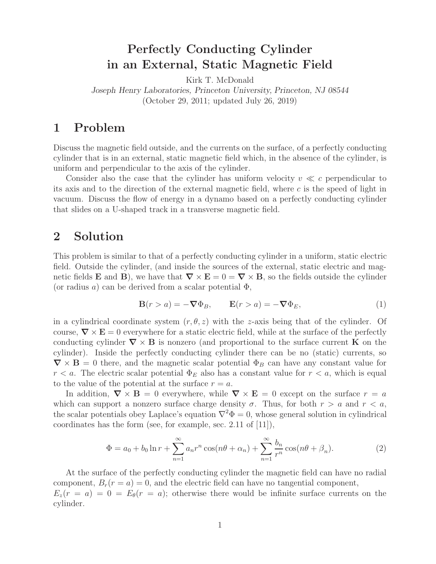## **Perfectly Conducting Cylinder in an External, Static Magnetic Field**

Kirk T. McDonald *Joseph Henry Laboratories, Princeton University, Princeton, NJ 08544* (October 29, 2011; updated July 26, 2019)

## **1 Problem**

Discuss the magnetic field outside, and the currents on the surface, of a perfectly conducting cylinder that is in an external, static magnetic field which, in the absence of the cylinder, is uniform and perpendicular to the axis of the cylinder.

Consider also the case that the cylinder has uniform velocity  $v \ll c$  perpendicular to its axis and to the direction of the external magnetic field, where  $c$  is the speed of light in vacuum. Discuss the flow of energy in a dynamo based on a perfectly conducting cylinder that slides on a U-shaped track in a transverse magnetic field.

### **2 Solution**

This problem is similar to that of a perfectly conducting cylinder in a uniform, static electric field. Outside the cylinder, (and inside the sources of the external, static electric and magnetic fields **E** and **B**), we have that  $\nabla \times \mathbf{E} = 0 = \nabla \times \mathbf{B}$ , so the fields outside the cylinder (or radius a) can be derived from a scalar potential  $\Phi$ ,

$$
\mathbf{B}(r > a) = -\nabla \Phi_B, \qquad \mathbf{E}(r > a) = -\nabla \Phi_E,\tag{1}
$$

in a cylindrical coordinate system  $(r, \theta, z)$  with the z-axis being that of the cylinder. Of course,  $\nabla \times \mathbf{E} = 0$  everywhere for a static electric field, while at the surface of the perfectly conducting cylinder  $\nabla \times \mathbf{B}$  is nonzero (and proportional to the surface current **K** on the cylinder). Inside the perfectly conducting cylinder there can be no (static) currents, so  $\nabla \times \mathbf{B} = 0$  there, and the magnetic scalar potential  $\Phi_B$  can have any constant value for  $r < a$ . The electric scalar potential  $\Phi_E$  also has a constant value for  $r < a$ , which is equal to the value of the potential at the surface  $r = a$ .

In addition,  $\nabla \times \mathbf{B} = 0$  everywhere, while  $\nabla \times \mathbf{E} = 0$  except on the surface  $r = a$ which can support a nonzero surface charge density  $\sigma$ . Thus, for both  $r > a$  and  $r < a$ , the scalar potentials obey Laplace's equation  $\nabla^2 \Phi = 0$ , whose general solution in cylindrical coordinates has the form (see, for example, sec. 2.11 of [11]),

$$
\Phi = a_0 + b_0 \ln r + \sum_{n=1}^{\infty} a_n r^n \cos(n\theta + \alpha_n) + \sum_{n=1}^{\infty} \frac{b_n}{r^n} \cos(n\theta + \beta_n).
$$
 (2)

At the surface of the perfectly conducting cylinder the magnetic field can have no radial component,  $B_r(r = a) = 0$ , and the electric field can have no tangential component,  $E_z(r = a) = 0 = E_\theta(r = a);$  otherwise there would be infinite surface currents on the cylinder.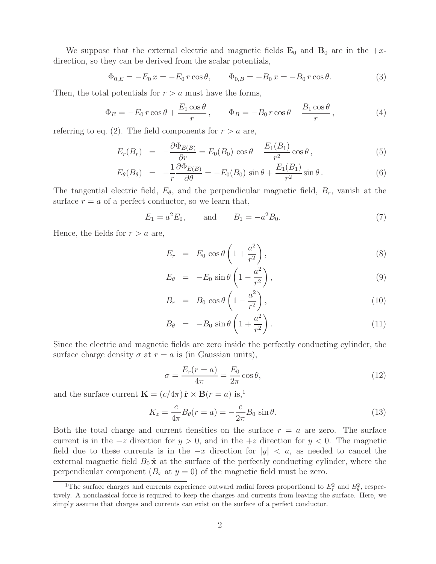We suppose that the external electric and magnetic fields  $\mathbf{E}_0$  and  $\mathbf{B}_0$  are in the  $+x$ direction, so they can be derived from the scalar potentials,

$$
\Phi_{0,E} = -E_0 x = -E_0 r \cos \theta, \qquad \Phi_{0,B} = -B_0 x = -B_0 r \cos \theta.
$$
\n(3)

Then, the total potentials for  $r > a$  must have the forms,

$$
\Phi_E = -E_0 r \cos \theta + \frac{E_1 \cos \theta}{r}, \qquad \Phi_B = -B_0 r \cos \theta + \frac{B_1 \cos \theta}{r}, \qquad (4)
$$

referring to eq. (2). The field components for  $r > a$  are,

$$
E_r(B_r) = -\frac{\partial \Phi_{E(B)}}{\partial r} = E_0(B_0) \cos \theta + \frac{E_1(B_1)}{r^2} \cos \theta, \qquad (5)
$$

$$
E_{\theta}(B_{\theta}) = -\frac{1}{r} \frac{\partial \Phi_{E(B)}}{\partial \theta} = -E_0(B_0) \sin \theta + \frac{E_1(B_1)}{r^2} \sin \theta.
$$
 (6)

The tangential electric field,  $E_{\theta}$ , and the perpendicular magnetic field,  $B_r$ , vanish at the surface  $r = a$  of a perfect conductor, so we learn that,

$$
E_1 = a^2 E_0
$$
, and  $B_1 = -a^2 B_0$ . (7)

Hence, the fields for  $r > a$  are,

$$
E_r = E_0 \cos \theta \left( 1 + \frac{a^2}{r^2} \right), \tag{8}
$$

$$
E_{\theta} = -E_0 \sin \theta \left( 1 - \frac{a^2}{r^2} \right), \qquad (9)
$$

$$
B_r = B_0 \cos \theta \left( 1 - \frac{a^2}{r^2} \right), \qquad (10)
$$

$$
B_{\theta} = -B_0 \sin \theta \left( 1 + \frac{a^2}{r^2} \right). \tag{11}
$$

Since the electric and magnetic fields are zero inside the perfectly conducting cylinder, the surface charge density  $\sigma$  at  $r = a$  is (in Gaussian units),

$$
\sigma = \frac{E_r(r=a)}{4\pi} = \frac{E_0}{2\pi} \cos \theta, \qquad (12)
$$

and the surface current  $\mathbf{K} = (c/4\pi) \hat{\mathbf{r}} \times \mathbf{B}(r = a)$  is,<sup>1</sup>

$$
K_z = \frac{c}{4\pi} B_\theta(r = a) = -\frac{c}{2\pi} B_0 \sin \theta.
$$
\n(13)

Both the total charge and current densities on the surface  $r = a$  are zero. The surface current is in the  $-z$  direction for  $y > 0$ , and in the  $+z$  direction for  $y < 0$ . The magnetic field due to these currents is in the  $-x$  direction for  $|y| < a$ , as needed to cancel the external magnetic field  $B_0 \hat{\mathbf{x}}$  at the surface of the perfectly conducting cylinder, where the perpendicular component  $(B_x \text{ at } y = 0)$  of the magnetic field must be zero.

<sup>&</sup>lt;sup>1</sup>The surface charges and currents experience outward radial forces proportional to  $E_r^2$  and  $B_\theta^2$ , respectively. A nonclassical force is required to keep the charges and currents from leaving the surface. Here, we simply assume that charges and currents can exist on the surface of a perfect conductor.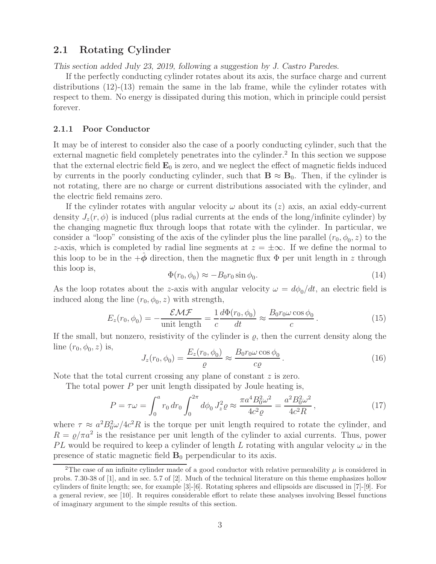### **2.1 Rotating Cylinder**

*This section added July 23, 2019, following a suggestion by J. Castro Paredes.*

If the perfectly conducting cylinder rotates about its axis, the surface charge and current distributions  $(12)-(13)$  remain the same in the lab frame, while the cylinder rotates with respect to them. No energy is dissipated during this motion, which in principle could persist forever.

#### **2.1.1 Poor Conductor**

It may be of interest to consider also the case of a poorly conducting cylinder, such that the external magnetic field completely penetrates into the cylinder.<sup>2</sup> In this section we suppose that the external electric field  $\mathbf{E}_0$  is zero, and we neglect the effect of magnetic fields induced by currents in the poorly conducting cylinder, such that  $\mathbf{B} \approx \mathbf{B}_0$ . Then, if the cylinder is not rotating, there are no charge or current distributions associated with the cylinder, and the electric field remains zero.

If the cylinder rotates with angular velocity  $\omega$  about its  $(z)$  axis, an axial eddy-current density  $J_z(r, \phi)$  is induced (plus radial currents at the ends of the long/infinite cylinder) by the changing magnetic flux through loops that rotate with the cylinder. In particular, we consider a "loop" consisting of the axis of the cylinder plus the line parallel  $(r_0, \phi_0, z)$  to the z-axis, which is completed by radial line segments at  $z = \pm \infty$ . If we define the normal to this loop to be in the  $+\phi$  direction, then the magnetic flux  $\Phi$  per unit length in z through this loop is,  $\Phi(r_0, \phi_0) \approx -B_0 r_0 \sin \phi_0.$  (14)

$$
\Phi(r_0, \phi_0) \approx -B_0 r_0 \sin \phi_0. \tag{14}
$$

As the loop rotates about the z-axis with angular velocity  $\omega = d\phi_0/dt$ , an electric field is induced along the line  $(r_0, \phi_0, z)$  with strength,

$$
E_z(r_0, \phi_0) = -\frac{\mathcal{EMF}}{\text{unit length}} = \frac{1}{c} \frac{d\Phi(r_0, \phi_0)}{dt} \approx \frac{B_0 r_0 \omega \cos \phi_0}{c} \,. \tag{15}
$$

If the small, but nonzero, resistivity of the cylinder is  $\rho$ , then the current density along the line  $(r_0, \phi_0, z)$  is,

$$
J_z(r_0, \phi_0) = \frac{E_z(r_0, \phi_0)}{\varrho} \approx \frac{B_0 r_0 \omega \cos \phi_0}{c \varrho}.
$$
\n(16)

Note that the total current crossing any plane of constant z is zero.

The total power  $P$  per unit length dissipated by Joule heating is,

$$
P = \tau \omega = \int_0^a r_0 dr_0 \int_0^{2\pi} d\phi_0 J_z^2 \varrho \approx \frac{\pi a^4 B_0^2 \omega^2}{4c^2 \varrho} = \frac{a^2 B_0^2 \omega^2}{4c^2 R},\tag{17}
$$

where  $\tau \approx a^2 B_0^2 \omega / 4c^2 R$  is the torque per unit length required to rotate the cylinder, and  $R = \rho/\pi a^2$  is the resistance per unit length of the cylinder to axial currents. Thus, power PL would be required to keep a cylinder of length L rotating with angular velocity  $\omega$  in the presence of static magnetic field  $\mathbf{B}_0$  perpendicular to its axis.

<sup>&</sup>lt;sup>2</sup>The case of an infinite cylinder made of a good conductor with relative permeability  $\mu$  is considered in probs. 7.30-38 of [1], and in sec. 5.7 of [2]. Much of the technical literature on this theme emphasizes hollow cylinders of finite length; see, for example [3]-[6]. Rotating spheres and ellipsoids are discussed in [7]-[9]. For a general review, see [10]. It requires considerable effort to relate these analyses involving Bessel functions of imaginary argument to the simple results of this section.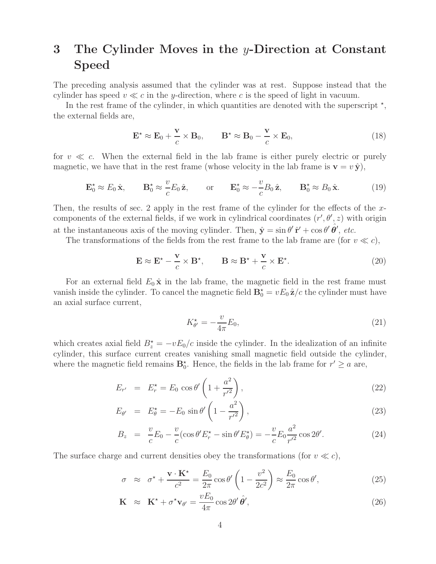## **3 The Cylinder Moves in the** y**-Direction at Constant Speed**

The preceding analysis assumed that the cylinder was at rest. Suppose instead that the cylinder has speed  $v \ll c$  in the y-direction, where c is the speed of light in vacuum.

In the rest frame of the cylinder, in which quantities are denoted with the superscript  $\star$ , the external fields are,

$$
\mathbf{E}^{\star} \approx \mathbf{E}_0 + \frac{\mathbf{v}}{c} \times \mathbf{B}_0, \qquad \mathbf{B}^{\star} \approx \mathbf{B}_0 - \frac{\mathbf{v}}{c} \times \mathbf{E}_0,
$$
\n(18)

for  $v \ll c$ . When the external field in the lab frame is either purely electric or purely magnetic, we have that in the rest frame (whose velocity in the lab frame is  $\mathbf{v} = v \hat{\mathbf{y}}$ ),

$$
\mathbf{E}_0^{\star} \approx E_0 \hat{\mathbf{x}}, \qquad \mathbf{B}_0^{\star} \approx \frac{v}{c} E_0 \hat{\mathbf{z}}, \qquad \text{or} \qquad \mathbf{E}_0^{\star} \approx -\frac{v}{c} B_0 \hat{\mathbf{z}}, \qquad \mathbf{B}_0^{\star} \approx B_0 \hat{\mathbf{x}}.
$$
 (19)

Then, the results of sec. 2 apply in the rest frame of the cylinder for the effects of the xcomponents of the external fields, if we work in cylindrical coordinates  $(r', \theta', z)$  with origin at the instantaneous axis of the moving cylinder. Then,  $\hat{\mathbf{y}} = \sin \theta' \hat{\mathbf{r}}' + \cos \theta' \hat{\theta}'$ , *etc.* 

The transformations of the fields from the rest frame to the lab frame are (for  $v \ll c$ ),

$$
\mathbf{E} \approx \mathbf{E}^* - \frac{\mathbf{v}}{c} \times \mathbf{B}^*, \qquad \mathbf{B} \approx \mathbf{B}^* + \frac{\mathbf{v}}{c} \times \mathbf{E}^*.
$$
 (20)

For an external field  $E_0 \hat{\mathbf{x}}$  in the lab frame, the magnetic field in the rest frame must vanish inside the cylinder. To cancel the magnetic field  $\mathbf{B}_0^* = v E_0 \hat{\mathbf{z}}/c$  the cylinder must have an axial surface current,

$$
K_{\theta'}^* = -\frac{v}{4\pi} E_0,\tag{21}
$$

which creates axial field  $B_z^* = -vE_0/c$  inside the cylinder. In the idealization of an infinite cylinder, this surface current creates vanishing small magnetic field outside the cylinder, where the magnetic field remains  $\mathbf{B}_0^*$ . Hence, the fields in the lab frame for  $r' \ge a$  are,

$$
E_{r'} = E_r^* = E_0 \cos \theta' \left( 1 + \frac{a^2}{r'^2} \right),
$$
\n(22)

$$
E_{\theta'} = E_{\theta}^* = -E_0 \sin \theta' \left( 1 - \frac{a^2}{r'^2} \right),
$$
\n(23)

$$
B_z = \frac{v}{c} E_0 - \frac{v}{c} (\cos \theta' E_r^* - \sin \theta' E_\theta^*) = -\frac{v}{c} E_0 \frac{a^2}{r'^2} \cos 2\theta'. \tag{24}
$$

The surface charge and current densities obey the transformations (for  $v \ll c$ ),

$$
\sigma \approx \sigma^* + \frac{\mathbf{v} \cdot \mathbf{K}^*}{c^2} = \frac{E_0}{2\pi} \cos \theta' \left( 1 - \frac{v^2}{2c^2} \right) \approx \frac{E_0}{2\pi} \cos \theta', \tag{25}
$$

$$
\mathbf{K} \approx \mathbf{K}^{\star} + \sigma^{\star} \mathbf{v}_{\theta'} = \frac{v E_0}{4\pi} \cos 2\theta' \hat{\theta}', \qquad (26)
$$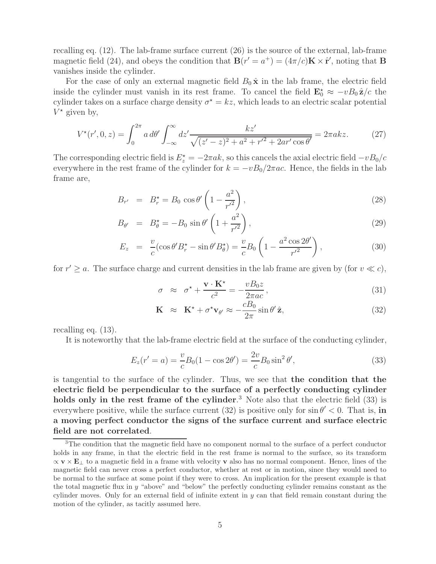recalling eq. (12). The lab-frame surface current (26) is the source of the external, lab-frame magnetic field (24), and obeys the condition that  $\mathbf{B}(r' = a^+) = (4\pi/c)\mathbf{K} \times \hat{\mathbf{r}}'$ , noting that **B** vanishes inside the cylinder.

For the case of only an external magnetic field  $B_0 \hat{\mathbf{x}}$  in the lab frame, the electric field inside the cylinder must vanish in its rest frame. To cancel the field  $\mathbf{E}_0^* \approx -vB_0\hat{\mathbf{z}}/c$  the cylinder takes on a surface charge density  $\sigma^* = kz$ , which leads to an electric scalar potential  $V^*$  given by,

$$
V^{\star}(r',0,z) = \int_0^{2\pi} a \, d\theta' \int_{-\infty}^{\infty} dz' \frac{kz'}{\sqrt{(z'-z)^2 + a^2 + r'^2 + 2ar'\cos\theta'}} = 2\pi a k z. \tag{27}
$$

The corresponding electric field is  $E_z^* = -2\pi ak$ , so this cancels the axial electric field  $-vB_0/c$ everywhere in the rest frame of the cylinder for  $k = -vB_0/2\pi ac$ . Hence, the fields in the lab frame are,

$$
B_{r'} = B_r^* = B_0 \cos \theta' \left( 1 - \frac{a^2}{r'^2} \right),
$$
\n(28)

$$
B_{\theta'} = B_{\theta}^* = -B_0 \sin \theta' \left( 1 + \frac{a^2}{r'^2} \right),
$$
\n(29)

$$
E_z = \frac{v}{c} \left( \cos \theta' B_r^* - \sin \theta' B_\theta^* \right) = \frac{v}{c} B_0 \left( 1 - \frac{a^2 \cos 2\theta'}{r'^2} \right),\tag{30}
$$

for  $r' \ge a$ . The surface charge and current densities in the lab frame are given by (for  $v \ll c$ ),

$$
\sigma \approx \sigma^* + \frac{\mathbf{v} \cdot \mathbf{K}^*}{c^2} = -\frac{vB_0 z}{2\pi ac},\tag{31}
$$

$$
\mathbf{K} \approx \mathbf{K}^* + \sigma^* \mathbf{v}_{\theta'} \approx -\frac{cB_0}{2\pi} \sin \theta' \hat{\mathbf{z}}, \tag{32}
$$

recalling eq. (13).

It is noteworthy that the lab-frame electric field at the surface of the conducting cylinder,

$$
E_z(r'=a) = \frac{v}{c}B_0(1 - \cos 2\theta') = \frac{2v}{c}B_0\sin^2\theta',
$$
\n(33)

is tangential to the surface of the cylinder. Thus, we see that **the condition that the electric field be perpendicular to the surface of a perfectly conducting cylinder holds only in the rest frame of the cylinder**. <sup>3</sup> Note also that the electric field (33) is everywhere positive, while the surface current (32) is positive only for  $\sin \theta' < 0$ . That is, in **a moving perfect conductor the signs of the surface current and surface electric field are not correlated**.

<sup>&</sup>lt;sup>3</sup>The condition that the magnetic field have no component normal to the surface of a perfect conductor holds in any frame, in that the electric field in the rest frame is normal to the surface, so its transform ∝ **v** × **E**<sup>⊥</sup> to a magnetic field in a frame with velocity **v** also has no normal component. Hence, lines of the magnetic field can never cross a perfect conductor, whether at rest or in motion, since they would need to be normal to the surface at some point if they were to cross. An implication for the present example is that the total magnetic flux in  $y$  "above" and "below" the perfectly conducting cylinder remains constant as the cylinder moves. Only for an external field of infinite extent in y can that field remain constant during the motion of the cylinder, as tacitly assumed here.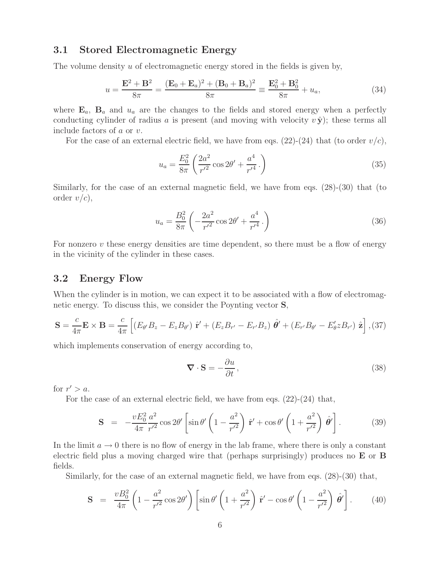#### **3.1 Stored Electromagnetic Energy**

The volume density u of electromagnetic energy stored in the fields is given by,

$$
u = \frac{\mathbf{E}^2 + \mathbf{B}^2}{8\pi} = \frac{(\mathbf{E}_0 + \mathbf{E}_a)^2 + (\mathbf{B}_0 + \mathbf{B}_a)^2}{8\pi} \equiv \frac{\mathbf{E}_0^2 + \mathbf{B}_0^2}{8\pi} + u_a,
$$
(34)

where  $\mathbf{E}_a$ ,  $\mathbf{B}_a$  and  $u_a$  are the changes to the fields and stored energy when a perfectly conducting cylinder of radius a is present (and moving with velocity  $v \hat{y}$ ); these terms all include factors of a or v.

For the case of an external electric field, we have from eqs.  $(22)-(24)$  that (to order  $v/c$ ),

$$
u_a = \frac{E_0^2}{8\pi} \left( \frac{2a^2}{r'^2} \cos 2\theta' + \frac{a^4}{r'^4} \right)
$$
 (35)

Similarly, for the case of an external magnetic field, we have from eqs. (28)-(30) that (to order  $v/c$ ,

$$
u_a = \frac{B_0^2}{8\pi} \left( -\frac{2a^2}{r'^2} \cos 2\theta' + \frac{a^4}{r'^4} \right)
$$
 (36)

For nonzero  $v$  these energy densities are time dependent, so there must be a flow of energy in the vicinity of the cylinder in these cases.

### **3.2 Energy Flow**

When the cylinder is in motion, we can expect it to be associated with a flow of electromagnetic energy. To discuss this, we consider the Poynting vector **S**,

$$
\mathbf{S} = \frac{c}{4\pi} \mathbf{E} \times \mathbf{B} = \frac{c}{4\pi} \left[ \left( E_{\theta'} B_z - E_z B_{\theta'} \right) \hat{\mathbf{r}}' + \left( E_z B_{r'} - E_{r'} B_z \right) \hat{\theta'} + \left( E_{r'} B_{\theta'} - E_{\theta}^{\prime} z B_{r'} \right) \hat{\mathbf{z}} \right], (37)
$$

which implements conservation of energy according to,

$$
\nabla \cdot \mathbf{S} = -\frac{\partial u}{\partial t},\tag{38}
$$

for  $r' > a$ .

For the case of an external electric field, we have from eqs. (22)-(24) that,

$$
\mathbf{S} = -\frac{vE_0^2}{4\pi} \frac{a^2}{r'^2} \cos 2\theta' \left[ \sin \theta' \left( 1 - \frac{a^2}{r'^2} \right) \hat{\mathbf{r}}' + \cos \theta' \left( 1 + \frac{a^2}{r'^2} \right) \hat{\boldsymbol{\theta}}' \right].
$$
 (39)

In the limit  $a \to 0$  there is no flow of energy in the lab frame, where there is only a constant electric field plus a moving charged wire that (perhaps surprisingly) produces no **E** or **B** fields.

Similarly, for the case of an external magnetic field, we have from eqs. (28)-(30) that,

$$
\mathbf{S} = \frac{vB_0^2}{4\pi} \left( 1 - \frac{a^2}{r'^2} \cos 2\theta' \right) \left[ \sin \theta' \left( 1 + \frac{a^2}{r'^2} \right) \hat{\mathbf{r}}' - \cos \theta' \left( 1 - \frac{a^2}{r'^2} \right) \hat{\boldsymbol{\theta}}' \right]. \tag{40}
$$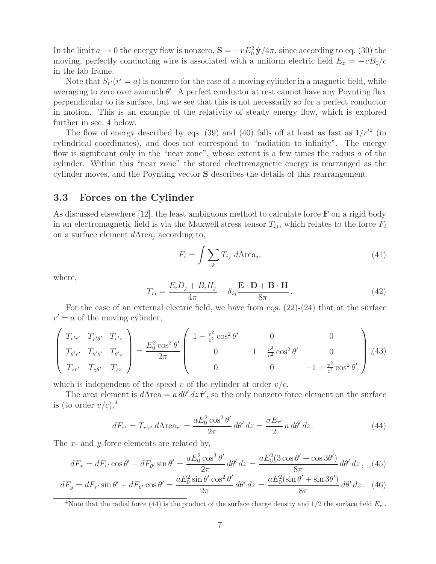In the limit  $a \to 0$  the energy flow is nonzero,  $\mathbf{S} = -vE_0^2 \hat{\mathbf{y}}/4\pi$ , since according to eq. (30) the moving, perfectly conducting wire is associated with a uniform electric field  $E_z = -vB_0/c$ in the lab frame.

Note that  $S_{r'}(r' = a)$  is nonzero for the case of a moving cylinder in a magnetic field, while averaging to zero over azimuth  $\theta'$ . A perfect conductor at rest cannot have any Poynting flux perpendicular to its surface, but we see that this is not necessarily so for a perfect conductor in motion. This is an example of the relativity of steady energy flow, which is explored further in sec. 4 below.

The flow of energy described by eqs. (39) and (40) falls off at least as fast as  $1/r'^2$  (in cylindrical coordinates), and does not correspond to "radiation to infinity". The energy flow is significant only in the "near zone", whose extent is a few times the radius  $a$  of the cylinder. Within this "near zone" the stored electromagnetic energy is rearranged as the cylinder moves, and the Poynting vector **S** describes the details of this rearrangement.

#### **3.3 Forces on the Cylinder**

As discussed elsewhere [12], the least ambiguous method to calculate force **F** on a rigid body in an electromagnetic field is via the Maxwell stress tensor  $T_{ij}$ , which relates to the force  $F_i$ on a surface element  $d$ Area<sub>j</sub> according to,

$$
F_i = \int \sum_k T_{ij} \ d\text{Area}_j,\tag{41}
$$

where,

$$
T_{ij} = \frac{E_i D_j + B_i H_j}{4\pi} - \delta_{ij} \frac{\mathbf{E} \cdot \mathbf{D} + \mathbf{B} \cdot \mathbf{H}}{8\pi}.
$$
 (42)

For the case of an external electric field, we have from eqs.  $(22)-(24)$  that at the surface  $r' = a$  of the moving cylinder,

$$
\begin{pmatrix}\nT_{r'r'} & T_{r'\theta'} & T_{r'z} \\
T_{\theta'r'} & T_{\theta'\theta'} & T_{\theta'z} \\
T_{zr'} & T_{z\theta'} & T_{zz}\n\end{pmatrix} = \frac{E_0^2 \cos^2 \theta'}{2\pi} \begin{pmatrix}\n1 - \frac{v^2}{c^2} \cos^2 \theta' & 0 & 0 \\
0 & -1 - \frac{v^2}{c^2} \cos^2 \theta' & 0 \\
0 & 0 & -1 + \frac{v^2}{c^2} \cos^2 \theta'\n\end{pmatrix},
$$
\n(43)

which is independent of the speed v of the cylinder at order  $v/c$ .

The area element is  $dA$ rea =  $a d\theta' dz \hat{\mathbf{r}}'$ , so the only nonzero force element on the surface is (to order  $v/c$ ),<sup>4</sup>

$$
dF_{r'} = T_{r'r'} d\text{Area}_{r'} = \frac{aE_0^2 \cos^2 \theta'}{2\pi} d\theta' dz = \frac{\sigma E_{r'}}{2} a d\theta' dz. \tag{44}
$$

The x- and y-force elements are related by,

$$
dF_x = dF_{r'}\cos\theta' - dF_{\theta'}\sin\theta' = \frac{aE_0^2\cos^3\theta'}{2\pi}d\theta' dz = \frac{aE_0^2(3\cos\theta' + \cos 3\theta')}{8\pi}d\theta' dz, \quad (45)
$$

$$
dF_y = dF_{r'}\sin\theta' + dF_{\theta'}\cos\theta' = \frac{aE_0^2\sin\theta'\cos^2\theta'}{2\pi}d\theta'dz = \frac{aE_0^2(\sin\theta' + \sin 3\theta')}{8\pi}d\theta'dz. \tag{46}
$$

<sup>&</sup>lt;sup>4</sup>Note that the radial force (44) is the product of the surface charge density and  $1/2$  the surface field  $E_{r'}$ .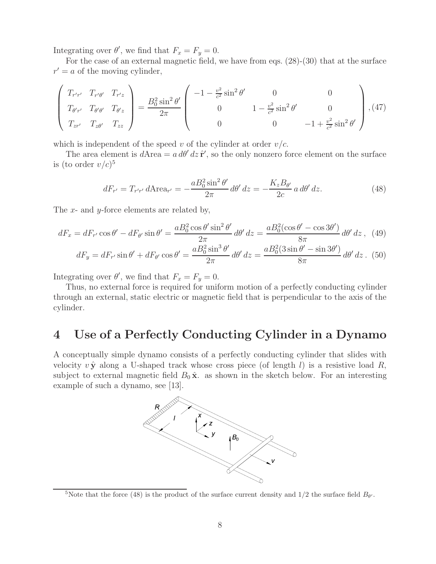Integrating over  $\theta'$ , we find that  $F_x = F_y = 0$ .

For the case of an external magnetic field, we have from eqs. (28)-(30) that at the surface  $r' = a$  of the moving cylinder,

$$
\begin{pmatrix}\nT_{r'r'} & T_{r'\theta'} & T_{r'z} \\
T_{\theta'r'} & T_{\theta'\theta'} & T_{\theta'z} \\
T_{zr'} & T_{z\theta'} & T_{zz}\n\end{pmatrix} = \frac{B_0^2 \sin^2 \theta'}{2\pi} \begin{pmatrix}\n-1 - \frac{v^2}{c^2} \sin^2 \theta' & 0 & 0 \\
0 & 1 - \frac{v^2}{c^2} \sin^2 \theta' & 0 \\
0 & 0 & -1 + \frac{v^2}{c^2} \sin^2 \theta'\n\end{pmatrix}, (47)
$$

which is independent of the speed v of the cylinder at order  $v/c$ .

The area element is  $dA$ rea =  $a d\theta' dz \hat{\mathbf{r}}'$ , so the only nonzero force element on the surface is (to order  $v/c$ )<sup>5</sup>

$$
dF_{r'} = T_{r'r'} d \text{Area}_{r'} = -\frac{aB_0^2 \sin^2 \theta'}{2\pi} d\theta' dz = -\frac{K_z B_{\theta'}}{2c} a d\theta' dz. \tag{48}
$$

The x- and y-force elements are related by,

$$
dF_x = dF_{r'}\cos\theta' - dF_{\theta'}\sin\theta' = \frac{aB_0^2\cos\theta'\sin^2\theta'}{2\pi}d\theta'dz = \frac{aB_0^2(\cos\theta' - \cos 3\theta')}{8\pi}d\theta'dz \,, \tag{49}
$$

$$
dF_y = dF_{r'}\sin\theta' + dF_{\theta'}\cos\theta' = \frac{aB_0^2\sin^3\theta'}{2\pi}d\theta'dz = \frac{aB_0^2(3\sin\theta' - \sin 3\theta')}{8\pi}d\theta'dz.
$$
 (50)

Integrating over  $\theta'$ , we find that  $F_x = F_y = 0$ .

Thus, no external force is required for uniform motion of a perfectly conducting cylinder through an external, static electric or magnetic field that is perpendicular to the axis of the cylinder.

# **4 Use of a Perfectly Conducting Cylinder in a Dynamo**

A conceptually simple dynamo consists of a perfectly conducting cylinder that slides with velocity  $v \hat{y}$  along a U-shaped track whose cross piece (of length l) is a resistive load R, subject to external magnetic field  $B_0 \hat{\mathbf{x}}$  as shown in the sketch below. For an interesting example of such a dynamo, see [13].



<sup>&</sup>lt;sup>5</sup>Note that the force (48) is the product of the surface current density and  $1/2$  the surface field  $B_{\theta}$ .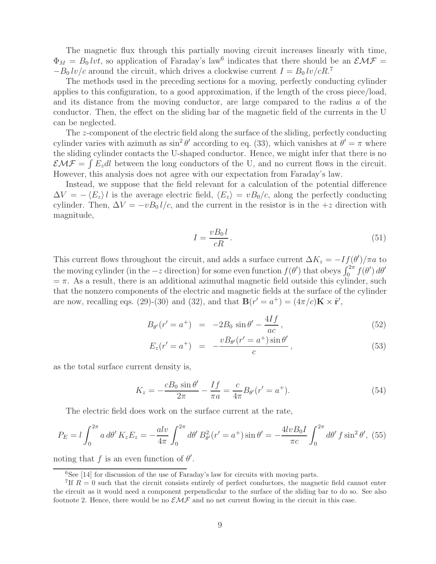The magnetic flux through this partially moving circuit increases linearly with time,  $\Phi_M = B_0 lvt$ , so application of Faraday's law<sup>6</sup> indicates that there should be an  $\mathcal{EMF} =$  $-B_0 \, \text{lv}/c$  around the circuit, which drives a clockwise current  $I = B_0 \, \text{lv}/cR$ .

The methods used in the preceding sections for a moving, perfectly conducting cylinder applies to this configuration, to a good approximation, if the length of the cross piece/load, and its distance from the moving conductor, are large compared to the radius a of the conductor. Then, the effect on the sliding bar of the magnetic field of the currents in the U can be neglected.

The z-component of the electric field along the surface of the sliding, perfectly conducting cylinder varies with azimuth as  $\sin^2 \theta'$  according to eq. (33), which vanishes at  $\theta' = \pi$  where the sliding cylinder contacts the U-shaped conductor. Hence, we might infer that there is no  $\mathcal{EMF} = \int E_z dl$  between the long conductors of the U, and no current flows in the circuit. However, this analysis does not agree with our expectation from Faraday's law.

Instead, we suppose that the field relevant for a calculation of the potential difference  $\Delta V = - \langle E_z \rangle l$  is the average electric field,  $\langle E_z \rangle = v B_0/c$ , along the perfectly conducting cylinder. Then,  $\Delta V = -vB_0 l/c$ , and the current in the resistor is in the  $+z$  direction with magnitude,

$$
I = \frac{vB_0 l}{cR} \,. \tag{51}
$$

This current flows throughout the circuit, and adds a surface current  $\Delta K_z = -I f(\theta')/\pi a$  to the moving cylinder (in the  $-z$  direction) for some even function  $f(\theta')$  that obeys  $\int_0^{2\pi} f(\theta') d\theta'$  $=\pi$ . As a result, there is an additional azimuthal magnetic field outside this cylinder, such that the nonzero components of the electric and magnetic fields at the surface of the cylinder are now, recalling eqs. (29)-(30) and (32), and that  $\mathbf{B}(r' = a^+) = (4\pi/c)\mathbf{K} \times \hat{\mathbf{r}}'$ ,

$$
B_{\theta'}(r'=a^+) = -2B_0 \sin \theta' - \frac{4If}{ac}, \qquad (52)
$$

$$
E_z(r' = a^+) = -\frac{vB_{\theta'}(r' = a^+) \sin \theta'}{c}, \qquad (53)
$$

as the total surface current density is,

$$
K_z = -\frac{cB_0 \sin \theta'}{2\pi} - \frac{If}{\pi a} = \frac{c}{4\pi} B_{\theta'}(r' = a^+).
$$
 (54)

The electric field does work on the surface current at the rate,

$$
P_E = l \int_0^{2\pi} a \, d\theta' \, K_z E_z = -\frac{alv}{4\pi} \int_0^{2\pi} d\theta' \, B_{\theta'}^2(r' = a^+) \sin \theta' = -\frac{4lvB_0I}{\pi c} \int_0^{2\pi} d\theta' \, f \sin^2 \theta', \tag{55}
$$

noting that f is an even function of  $\theta'$ .

 ${}^{6}$ See [14] for discussion of the use of Faraday's law for circuits with moving parts.

<sup>&</sup>lt;sup>7</sup>If  $R = 0$  such that the circuit consists entirely of perfect conductors, the magnetic field cannot enter the circuit as it would need a component perpendicular to the surface of the sliding bar to do so. See also footnote 2. Hence, there would be no  $\mathcal{EMF}$  and no net current flowing in the circuit in this case.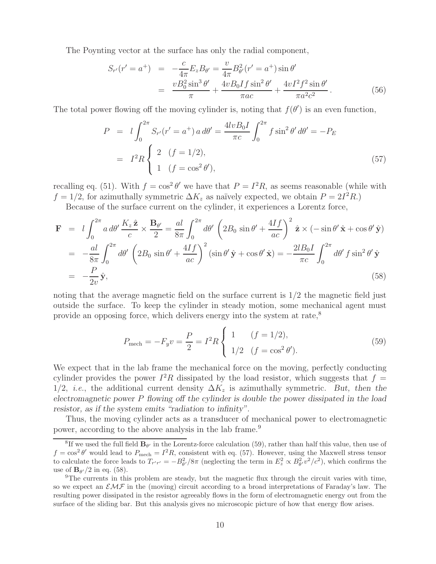The Poynting vector at the surface has only the radial component,

$$
S_{r'}(r'=a^+) = -\frac{c}{4\pi}E_zB_{\theta'} = \frac{v}{4\pi}B_{\theta'}^2(r'=a^+) \sin \theta'
$$
  
= 
$$
\frac{vB_0^2 \sin^3 \theta'}{\pi} + \frac{4vB_0If \sin^2 \theta'}{\pi ac} + \frac{4vI^2f^2 \sin \theta'}{\pi a^2c^2}.
$$
 (56)

The total power flowing off the moving cylinder is, noting that  $f(\theta')$  is an even function,

$$
P = l \int_0^{2\pi} S_{r'}(r' = a^+) a d\theta' = \frac{4lvB_0I}{\pi c} \int_0^{2\pi} f \sin^2 \theta' d\theta' = -P_E
$$
  
=  $I^2 R \begin{cases} 2 & (f = 1/2), \\ 1 & (f = \cos^2 \theta'), \end{cases}$  (57)

recalling eq. (51). With  $f = \cos^2 \theta'$  we have that  $P = I^2 R$ , as seems reasonable (while with  $f = 1/2$ , for azimuthally symmetric  $\Delta K_z$  as naïvely expected, we obtain  $P = 2I^2 R$ .)

Because of the surface current on the cylinder, it experiences a Lorentz force,

$$
\mathbf{F} = l \int_0^{2\pi} a \, d\theta' \frac{K_z \hat{\mathbf{z}}}{c} \times \frac{\mathbf{B}_{\theta'}}{2} = \frac{al}{8\pi} \int_0^{2\pi} d\theta' \left( 2B_0 \sin \theta' + \frac{4If}{ac} \right)^2 \hat{\mathbf{z}} \times (-\sin \theta' \hat{\mathbf{x}} + \cos \theta' \hat{\mathbf{y}})
$$
  
\n
$$
= -\frac{al}{8\pi} \int_0^{2\pi} d\theta' \left( 2B_0 \sin \theta' + \frac{4If}{ac} \right)^2 (\sin \theta' \hat{\mathbf{y}} + \cos \theta' \hat{\mathbf{x}}) = -\frac{2lB_0 I}{\pi c} \int_0^{2\pi} d\theta' f \sin^2 \theta' \hat{\mathbf{y}}
$$
  
\n
$$
= -\frac{P}{2v} \hat{\mathbf{y}}, \tag{58}
$$

noting that the average magnetic field on the surface current is  $1/2$  the magnetic field just outside the surface. To keep the cylinder in steady motion, some mechanical agent must provide an opposing force, which delivers energy into the system at rate,<sup>8</sup>

$$
P_{\text{mech}} = -F_y v = \frac{P}{2} = I^2 R \begin{cases} 1 & (f = 1/2), \\ 1/2 & (f = \cos^2 \theta'). \end{cases}
$$
 (59)

We expect that in the lab frame the mechanical force on the moving, perfectly conducting cylinder provides the power  $I^2R$  dissipated by the load resistor, which suggests that  $f =$ 1/2, *i.e.*, the additional current density  $\Delta K_z$  is azimuthally symmetric. But, then the *electromagnetic power* P *flowing off the cylinder is double the power dissipated in the load resistor, as if the system emits "radiation to infinity".*

Thus, the moving cylinder acts as a transducer of mechanical power to electromagnetic power, according to the above analysis in the lab frame.<sup>9</sup>

<sup>&</sup>lt;sup>8</sup>If we used the full field  $\mathbf{B}_{\theta}$  in the Lorentz-force calculation (59), rather than half this value, then use of  $f = \cos^2 \theta'$  would lead to  $P_{\text{mech}} = I^2 R$ , consistent with eq. (57). However, using the Maxwell stress tensor to calculate the force leads to  $T_{r'r'} = -B_{\theta'}^2/8\pi$  (neglecting the term in  $E_z^2 \propto B_{\theta'}^2 v^2/c^2$ ), which confirms the use of  $\mathbf{B}_{\theta'}/2$  in eq. (58).

 $9$ The currents in this problem are steady, but the magnetic flux through the circuit varies with time, so we expect an  $\mathcal{EMF}$  in the (moving) circuit according to a broad interpretations of Faraday's law. The resulting power dissipated in the resistor agreeably flows in the form of electromagnetic energy out from the surface of the sliding bar. But this analysis gives no microscopic picture of how that energy flow arises.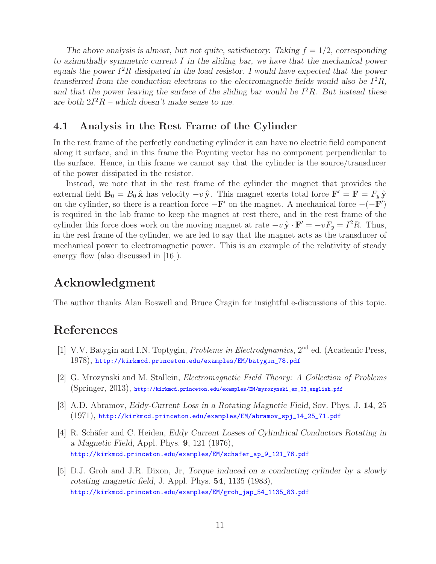The above analysis is almost, but not quite, satisfactory. Taking  $f = 1/2$ , corresponding *to azimuthally symmetric current* I *in the sliding bar, we have that the mechanical power equals the power*  $I^2R$  *dissipated in the load resistor. I would have expected that the power transferred from the conduction electrons to the electromagnetic fields would also be*  $I^2R$ , and that the power leaving the surface of the sliding bar would be  $I^2R$ . But instead these are both  $2I^2R$  – which doesn't make sense to me.

#### **4.1 Analysis in the Rest Frame of the Cylinder**

In the rest frame of the perfectly conducting cylinder it can have no electric field component along it surface, and in this frame the Poynting vector has no component perpendicular to the surface. Hence, in this frame we cannot say that the cylinder is the source/transducer of the power dissipated in the resistor.

Instead, we note that in the rest frame of the cylinder the magnet that provides the external field  $\mathbf{B}_0 = B_0 \hat{\mathbf{x}}$  has velocity  $-v \hat{\mathbf{y}}$ . This magnet exerts total force  $\mathbf{F}' = \mathbf{F} = F_y \hat{\mathbf{y}}$ on the cylinder, so there is a reaction force  $-\mathbf{F}'$  on the magnet. A mechanical force  $-(-\mathbf{F}')$ is required in the lab frame to keep the magnet at rest there, and in the rest frame of the cylinder this force does work on the moving magnet at rate  $-v\hat{\mathbf{y}} \cdot \mathbf{F}' = -vF_y = I^2R$ . Thus, in the rest frame of the cylinder, we are led to say that the magnet acts as the transducer of mechanical power to electromagnetic power. This is an example of the relativity of steady energy flow (also discussed in [16]).

## **Acknowledgment**

The author thanks Alan Boswell and Bruce Cragin for insightful e-discussions of this topic.

### **References**

- [1] V.V. Batygin and I.N. Toptygin, *Problems in Electrodynamics*, 2nd ed. (Academic Press, 1978), http://kirkmcd.princeton.edu/examples/EM/batygin\_78.pdf
- [2] G. Mrozynski and M. Stallein, *Electromagnetic Field Theory: A Collection of Problems* (Springer, 2013), http://kirkmcd.princeton.edu/examples/EM/myrozynski\_em\_03\_english.pdf
- [3] A.D. Abramov, *Eddy-Current Loss in a Rotating Magnetic Field*, Sov. Phys. J. **14**, 25 (1971), http://kirkmcd.princeton.edu/examples/EM/abramov\_spj\_14\_25\_71.pdf
- [4] R. Schäfer and C. Heiden, *Eddy Current Losses of Cylindrical Conductors Rotating in a Magnetic Field*, Appl. Phys. **9**, 121 (1976), http://kirkmcd.princeton.edu/examples/EM/schafer\_ap\_9\_121\_76.pdf
- [5] D.J. Groh and J.R. Dixon, Jr, *Torque induced on a conducting cylinder by a slowly rotating magnetic field*, J. Appl. Phys. **54**, 1135 (1983), http://kirkmcd.princeton.edu/examples/EM/groh\_jap\_54\_1135\_83.pdf